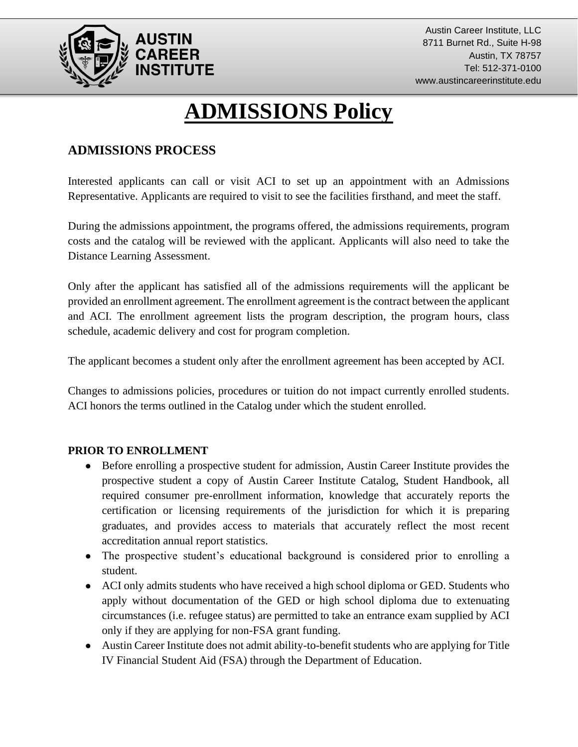

# **ADMISSIONS Policy**

## **ADMISSIONS PROCESS**

Interested applicants can call or visit ACI to set up an appointment with an Admissions Representative. Applicants are required to visit to see the facilities firsthand, and meet the staff.

During the admissions appointment, the programs offered, the admissions requirements, program costs and the catalog will be reviewed with the applicant. Applicants will also need to take the Distance Learning Assessment.

Only after the applicant has satisfied all of the admissions requirements will the applicant be provided an enrollment agreement. The enrollment agreement is the contract between the applicant and ACI. The enrollment agreement lists the program description, the program hours, class schedule, academic delivery and cost for program completion.

The applicant becomes a student only after the enrollment agreement has been accepted by ACI.

Changes to admissions policies, procedures or tuition do not impact currently enrolled students. ACI honors the terms outlined in the Catalog under which the student enrolled.

#### **PRIOR TO ENROLLMENT**

- Before enrolling a prospective student for admission, Austin Career Institute provides the prospective student a copy of Austin Career Institute Catalog, Student Handbook, all required consumer pre-enrollment information, knowledge that accurately reports the certification or licensing requirements of the jurisdiction for which it is preparing graduates, and provides access to materials that accurately reflect the most recent accreditation annual report statistics.
- The prospective student's educational background is considered prior to enrolling a student.
- ACI only admits students who have received a high school diploma or GED. Students who apply without documentation of the GED or high school diploma due to extenuating circumstances (i.e. refugee status) are permitted to take an entrance exam supplied by ACI only if they are applying for non-FSA grant funding.
- Austin Career Institute does not admit ability-to-benefit students who are applying for Title IV Financial Student Aid (FSA) through the Department of Education.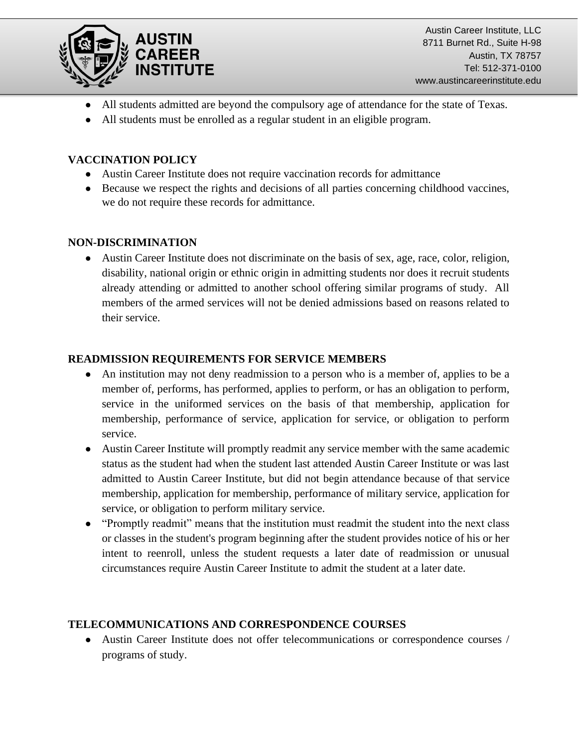

Austin Career Institute, LLC 8711 Burnet Rd., Suite H-98 Austin, TX 78757 Tel: 512-371-0100 www.austincareerinstitute.edu

- All students admitted are beyond the compulsory age of attendance for the state of Texas.
- All students must be enrolled as a regular student in an eligible program.

#### **VACCINATION POLICY**

- Austin Career Institute does not require vaccination records for admittance
- Because we respect the rights and decisions of all parties concerning childhood vaccines, we do not require these records for admittance.

#### **NON-DISCRIMINATION**

• Austin Career Institute does not discriminate on the basis of sex, age, race, color, religion, disability, national origin or ethnic origin in admitting students nor does it recruit students already attending or admitted to another school offering similar programs of study. All members of the armed services will not be denied admissions based on reasons related to their service.

#### **READMISSION REQUIREMENTS FOR SERVICE MEMBERS**

- An institution may not deny readmission to a person who is a member of, applies to be a member of, performs, has performed, applies to perform, or has an obligation to perform, service in the uniformed services on the basis of that membership, application for membership, performance of service, application for service, or obligation to perform service.
- Austin Career Institute will promptly readmit any service member with the same academic status as the student had when the student last attended Austin Career Institute or was last admitted to Austin Career Institute, but did not begin attendance because of that service membership, application for membership, performance of military service, application for service, or obligation to perform military service.
- "Promptly readmit" means that the institution must readmit the student into the next class or classes in the student's program beginning after the student provides notice of his or her intent to reenroll, unless the student requests a later date of readmission or unusual circumstances require Austin Career Institute to admit the student at a later date.

#### **TELECOMMUNICATIONS AND CORRESPONDENCE COURSES**

● Austin Career Institute does not offer telecommunications or correspondence courses / programs of study.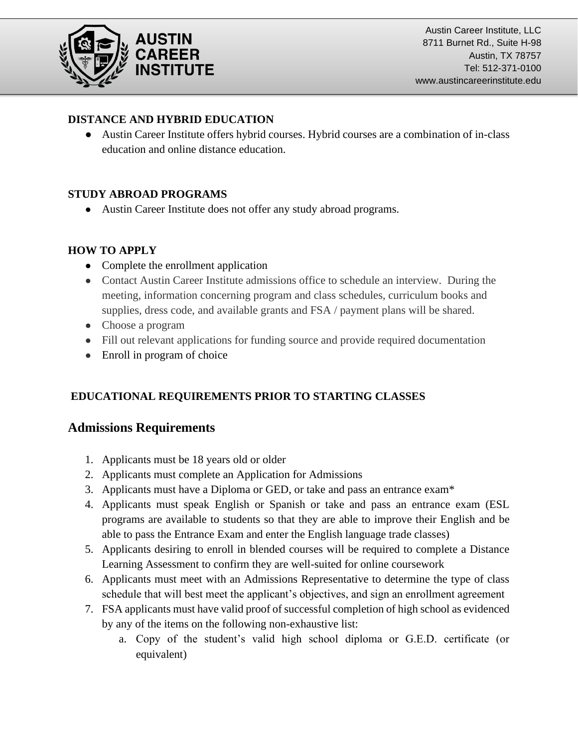

### **DISTANCE AND HYBRID EDUCATION**

● Austin Career Institute offers hybrid courses. Hybrid courses are a combination of in-class education and online distance education.

## **STUDY ABROAD PROGRAMS**

● Austin Career Institute does not offer any study abroad programs.

## **HOW TO APPLY**

- Complete the enrollment application
- Contact Austin Career Institute admissions office to schedule an interview. During the meeting, information concerning program and class schedules, curriculum books and supplies, dress code, and available grants and FSA / payment plans will be shared.
- Choose a program
- Fill out relevant applications for funding source and provide required documentation
- Enroll in program of choice

## **EDUCATIONAL REQUIREMENTS PRIOR TO STARTING CLASSES**

## **Admissions Requirements**

- 1. Applicants must be 18 years old or older
- 2. Applicants must complete an Application for Admissions
- 3. Applicants must have a Diploma or GED, or take and pass an entrance exam\*
- 4. Applicants must speak English or Spanish or take and pass an entrance exam (ESL programs are available to students so that they are able to improve their English and be able to pass the Entrance Exam and enter the English language trade classes)
- 5. Applicants desiring to enroll in blended courses will be required to complete a Distance Learning Assessment to confirm they are well-suited for online coursework
- 6. Applicants must meet with an Admissions Representative to determine the type of class schedule that will best meet the applicant's objectives, and sign an enrollment agreement
- 7. FSA applicants must have valid proof of successful completion of high school as evidenced by any of the items on the following non-exhaustive list:
	- a. Copy of the student's valid high school diploma or G.E.D. certificate (or equivalent)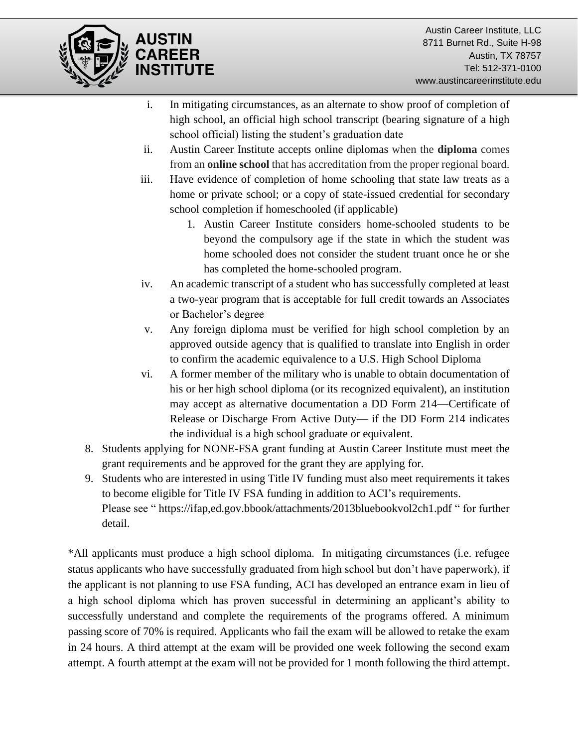

- i. In mitigating circumstances, as an alternate to show proof of completion of high school, an official high school transcript (bearing signature of a high school official) listing the student's graduation date
- ii. Austin Career Institute accepts online diplomas when the **diploma** comes from an **online school** that has accreditation from the proper regional board.
- iii. Have evidence of completion of home schooling that state law treats as a home or private school; or a copy of state-issued credential for secondary school completion if homeschooled (if applicable)
	- 1. Austin Career Institute considers home-schooled students to be beyond the compulsory age if the state in which the student was home schooled does not consider the student truant once he or she has completed the home-schooled program.
- iv. An academic transcript of a student who has successfully completed at least a two-year program that is acceptable for full credit towards an Associates or Bachelor's degree
- v. Any foreign diploma must be verified for high school completion by an approved outside agency that is qualified to translate into English in order to confirm the academic equivalence to a U.S. High School Diploma
- vi. A former member of the military who is unable to obtain documentation of his or her high school diploma (or its recognized equivalent), an institution may accept as alternative documentation a DD Form 214—Certificate of Release or Discharge From Active Duty— if the DD Form 214 indicates the individual is a high school graduate or equivalent.
- 8. Students applying for NONE-FSA grant funding at Austin Career Institute must meet the grant requirements and be approved for the grant they are applying for.
- 9. Students who are interested in using Title IV funding must also meet requirements it takes to become eligible for Title IV FSA funding in addition to ACI's requirements. Please see " https://ifap,ed.gov.bbook/attachments/2013bluebookvol2ch1.pdf " for further detail.

\*All applicants must produce a high school diploma. In mitigating circumstances (i.e. refugee status applicants who have successfully graduated from high school but don't have paperwork), if the applicant is not planning to use FSA funding, ACI has developed an entrance exam in lieu of a high school diploma which has proven successful in determining an applicant's ability to successfully understand and complete the requirements of the programs offered. A minimum passing score of 70% is required. Applicants who fail the exam will be allowed to retake the exam in 24 hours. A third attempt at the exam will be provided one week following the second exam attempt. A fourth attempt at the exam will not be provided for 1 month following the third attempt.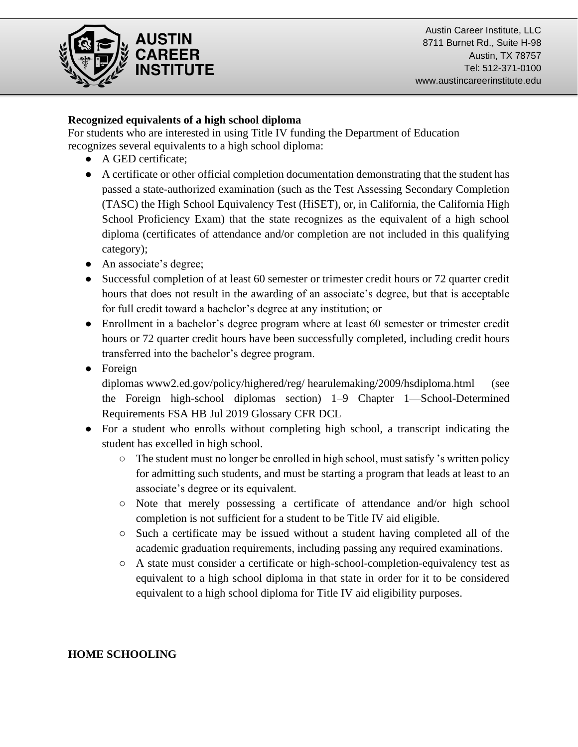

Austin Career Institute, LLC 8711 Burnet Rd., Suite H-98 Austin, TX 78757 Tel: 512-371-0100 www.austincareerinstitute.edu

#### **Recognized equivalents of a high school diploma**

For students who are interested in using Title IV funding the Department of Education recognizes several equivalents to a high school diploma:

- A GED certificate;
- A certificate or other official completion documentation demonstrating that the student has passed a state-authorized examination (such as the Test Assessing Secondary Completion (TASC) the High School Equivalency Test (HiSET), or, in California, the California High School Proficiency Exam) that the state recognizes as the equivalent of a high school diploma (certificates of attendance and/or completion are not included in this qualifying category);
- An associate's degree;
- Successful completion of at least 60 semester or trimester credit hours or 72 quarter credit hours that does not result in the awarding of an associate's degree, but that is acceptable for full credit toward a bachelor's degree at any institution; or
- Enrollment in a bachelor's degree program where at least 60 semester or trimester credit hours or 72 quarter credit hours have been successfully completed, including credit hours transferred into the bachelor's degree program.
- Foreign

diplomas [www2.ed.gov/policy/highered/reg/](http://www2.ed.gov/policy/highered/reg/) hearulemaking/2009/hsdiploma.html (see the Foreign high-school diplomas section) 1–9 Chapter 1—School-Determined Requirements FSA HB Jul 2019 Glossary CFR DCL

- For a student who enrolls without completing high school, a transcript indicating the student has excelled in high school.
	- $\circ$  The student must no longer be enrolled in high school, must satisfy 's written policy for admitting such students, and must be starting a program that leads at least to an associate's degree or its equivalent.
	- Note that merely possessing a certificate of attendance and/or high school completion is not sufficient for a student to be Title IV aid eligible.
	- Such a certificate may be issued without a student having completed all of the academic graduation requirements, including passing any required examinations.
	- A state must consider a certificate or high-school-completion-equivalency test as equivalent to a high school diploma in that state in order for it to be considered equivalent to a high school diploma for Title IV aid eligibility purposes.

#### **HOME SCHOOLING**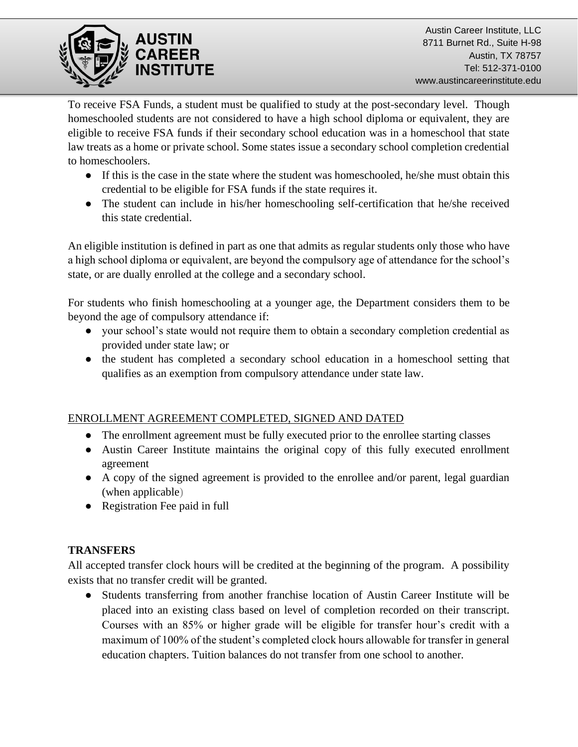

To receive FSA Funds, a student must be qualified to study at the post-secondary level. Though homeschooled students are not considered to have a high school diploma or equivalent, they are eligible to receive FSA funds if their secondary school education was in a homeschool that state law treats as a home or private school. Some states issue a secondary school completion credential to homeschoolers.

- If this is the case in the state where the student was homeschooled, he/she must obtain this credential to be eligible for FSA funds if the state requires it.
- The student can include in his/her homeschooling self-certification that he/she received this state credential.

An eligible institution is defined in part as one that admits as regular students only those who have a high school diploma or equivalent, are beyond the compulsory age of attendance for the school's state, or are dually enrolled at the college and a secondary school.

For students who finish homeschooling at a younger age, the Department considers them to be beyond the age of compulsory attendance if:

- your school's state would not require them to obtain a secondary completion credential as provided under state law; or
- the student has completed a secondary school education in a homeschool setting that qualifies as an exemption from compulsory attendance under state law.

## ENROLLMENT AGREEMENT COMPLETED, SIGNED AND DATED

- The enrollment agreement must be fully executed prior to the enrollee starting classes
- Austin Career Institute maintains the original copy of this fully executed enrollment agreement
- A copy of the signed agreement is provided to the enrollee and/or parent, legal guardian (when applicable)
- Registration Fee paid in full

#### **TRANSFERS**

All accepted transfer clock hours will be credited at the beginning of the program. A possibility exists that no transfer credit will be granted.

● Students transferring from another franchise location of Austin Career Institute will be placed into an existing class based on level of completion recorded on their transcript. Courses with an 85% or higher grade will be eligible for transfer hour's credit with a maximum of 100% of the student's completed clock hours allowable for transfer in general education chapters. Tuition balances do not transfer from one school to another.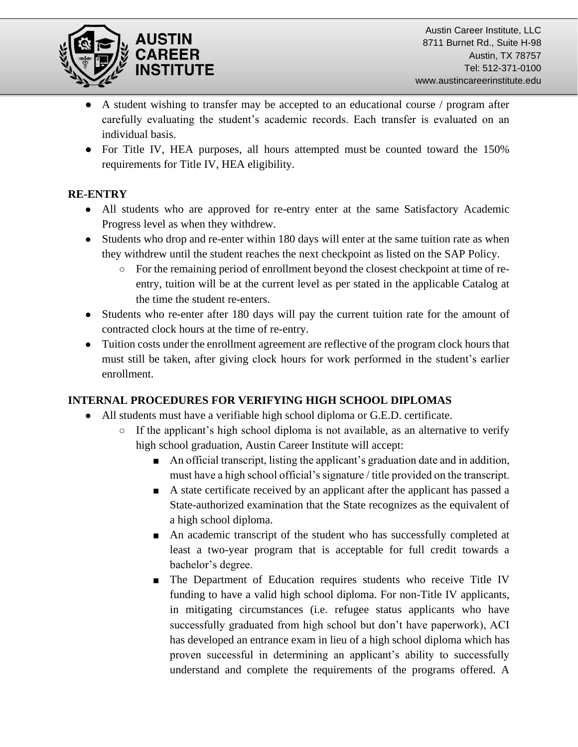

- A student wishing to transfer may be accepted to an educational course / program after carefully evaluating the student's academic records. Each transfer is evaluated on an individual basis.
- For Title IV, HEA purposes, all hours attempted must be counted toward the 150% requirements for Title IV, HEA eligibility.

## **RE-ENTRY**

- All students who are approved for re-entry enter at the same Satisfactory Academic Progress level as when they withdrew.
- Students who drop and re-enter within 180 days will enter at the same tuition rate as when they withdrew until the student reaches the next checkpoint as listed on the SAP Policy.
	- For the remaining period of enrollment beyond the closest checkpoint at time of reentry, tuition will be at the current level as per stated in the applicable Catalog at the time the student re-enters.
- Students who re-enter after 180 days will pay the current tuition rate for the amount of contracted clock hours at the time of re-entry.
- Tuition costs under the enrollment agreement are reflective of the program clock hours that must still be taken, after giving clock hours for work performed in the student's earlier enrollment.

## **INTERNAL PROCEDURES FOR VERIFYING HIGH SCHOOL DIPLOMAS**

- All students must have a verifiable high school diploma or G.E.D. certificate.
	- $\circ$  If the applicant's high school diploma is not available, as an alternative to verify high school graduation, Austin Career Institute will accept:
		- An official transcript, listing the applicant's graduation date and in addition, must have a high school official's signature / title provided on the transcript.
		- A state certificate received by an applicant after the applicant has passed a State-authorized examination that the State recognizes as the equivalent of a high school diploma.
		- An academic transcript of the student who has successfully completed at least a two-year program that is acceptable for full credit towards a bachelor's degree.
		- The Department of Education requires students who receive Title IV funding to have a valid high school diploma. For non-Title IV applicants, in mitigating circumstances (i.e. refugee status applicants who have successfully graduated from high school but don't have paperwork), ACI has developed an entrance exam in lieu of a high school diploma which has proven successful in determining an applicant's ability to successfully understand and complete the requirements of the programs offered. A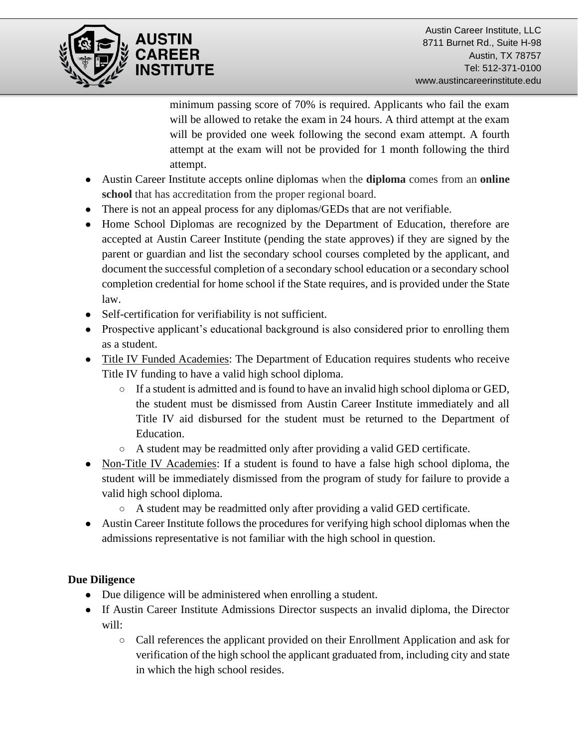

minimum passing score of 70% is required. Applicants who fail the exam will be allowed to retake the exam in 24 hours. A third attempt at the exam will be provided one week following the second exam attempt. A fourth attempt at the exam will not be provided for 1 month following the third attempt.

- Austin Career Institute accepts online diplomas when the **diploma** comes from an **online school** that has accreditation from the proper regional board.
- There is not an appeal process for any diplomas/GEDs that are not verifiable.
- Home School Diplomas are recognized by the Department of Education, therefore are accepted at Austin Career Institute (pending the state approves) if they are signed by the parent or guardian and list the secondary school courses completed by the applicant, and document the successful completion of a secondary school education or a secondary school completion credential for home school if the State requires, and is provided under the State law.
- Self-certification for verifiability is not sufficient.
- Prospective applicant's educational background is also considered prior to enrolling them as a student.
- Title IV Funded Academies: The Department of Education requires students who receive Title IV funding to have a valid high school diploma.
	- If a student is admitted and is found to have an invalid high school diploma or GED, the student must be dismissed from Austin Career Institute immediately and all Title IV aid disbursed for the student must be returned to the Department of Education.
	- A student may be readmitted only after providing a valid GED certificate.
- Non-Title IV Academies: If a student is found to have a false high school diploma, the student will be immediately dismissed from the program of study for failure to provide a valid high school diploma.
	- A student may be readmitted only after providing a valid GED certificate.
- Austin Career Institute follows the procedures for verifying high school diplomas when the admissions representative is not familiar with the high school in question.

#### **Due Diligence**

- Due diligence will be administered when enrolling a student.
- If Austin Career Institute Admissions Director suspects an invalid diploma, the Director will:
	- Call references the applicant provided on their Enrollment Application and ask for verification of the high school the applicant graduated from, including city and state in which the high school resides.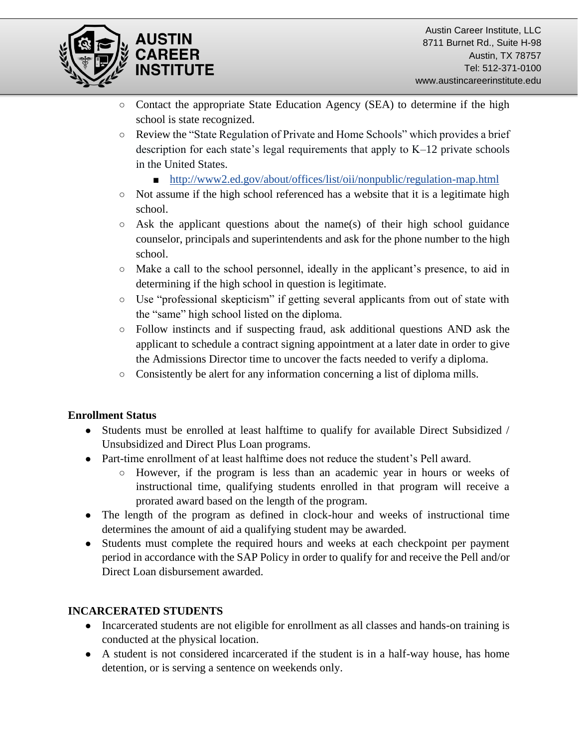



- Contact the appropriate State Education Agency (SEA) to determine if the high school is state recognized.
- Review the "State Regulation of Private and Home Schools" which provides a brief description for each state's legal requirements that apply to K–12 private schools in the United States.
	- <http://www2.ed.gov/about/offices/list/oii/nonpublic/regulation-map.html>
- Not assume if the high school referenced has a website that it is a legitimate high school.
- $\circ$  Ask the applicant questions about the name(s) of their high school guidance counselor, principals and superintendents and ask for the phone number to the high school.
- Make a call to the school personnel, ideally in the applicant's presence, to aid in determining if the high school in question is legitimate.
- Use "professional skepticism" if getting several applicants from out of state with the "same" high school listed on the diploma.
- Follow instincts and if suspecting fraud, ask additional questions AND ask the applicant to schedule a contract signing appointment at a later date in order to give the Admissions Director time to uncover the facts needed to verify a diploma.
- Consistently be alert for any information concerning a list of diploma mills.

#### **Enrollment Status**

- Students must be enrolled at least halftime to qualify for available Direct Subsidized / Unsubsidized and Direct Plus Loan programs.
- Part-time enrollment of at least halftime does not reduce the student's Pell award.
	- However, if the program is less than an academic year in hours or weeks of instructional time, qualifying students enrolled in that program will receive a prorated award based on the length of the program.
- The length of the program as defined in clock-hour and weeks of instructional time determines the amount of aid a qualifying student may be awarded.
- Students must complete the required hours and weeks at each checkpoint per payment period in accordance with the SAP Policy in order to qualify for and receive the Pell and/or Direct Loan disbursement awarded.

## **INCARCERATED STUDENTS**

- Incarcerated students are not eligible for enrollment as all classes and hands-on training is conducted at the physical location.
- A student is not considered incarcerated if the student is in a half-way house, has home detention, or is serving a sentence on weekends only.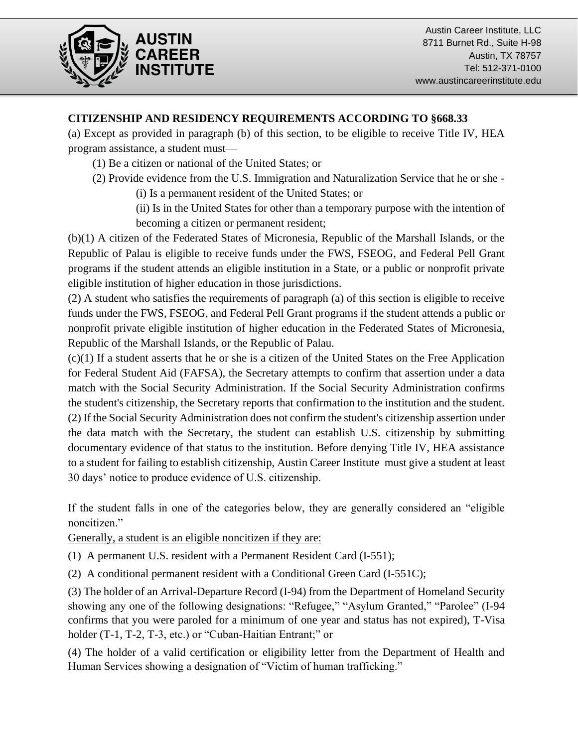

#### **CITIZENSHIP AND RESIDENCY REQUIREMENTS ACCORDING TO §668.33**

(a) Except as provided in paragraph (b) of this section, to be eligible to receive Title IV, HEA program assistance, a student must—

- (1) Be a citizen or national of the United States; or
- (2) Provide evidence from the U.S. Immigration and Naturalization Service that he or she
	- (i) Is a permanent resident of the United States; or

(ii) Is in the United States for other than a temporary purpose with the intention of becoming a citizen or permanent resident;

(b)(1) A citizen of the Federated States of Micronesia, Republic of the Marshall Islands, or the Republic of Palau is eligible to receive funds under the FWS, FSEOG, and Federal Pell Grant programs if the student attends an eligible institution in a State, or a public or nonprofit private eligible institution of higher education in those jurisdictions.

(2) A student who satisfies the requirements of paragraph (a) of this section is eligible to receive funds under the FWS, FSEOG, and Federal Pell Grant programs if the student attends a public or nonprofit private eligible institution of higher education in the Federated States of Micronesia, Republic of the Marshall Islands, or the Republic of Palau.

(c)(1) If a student asserts that he or she is a citizen of the United States on the Free Application for Federal Student Aid (FAFSA), the Secretary attempts to confirm that assertion under a data match with the Social Security Administration. If the Social Security Administration confirms the student's citizenship, the Secretary reports that confirmation to the institution and the student. (2) If the Social Security Administration does not confirm the student's citizenship assertion under the data match with the Secretary, the student can establish U.S. citizenship by submitting documentary evidence of that status to the institution. Before denying Title IV, HEA assistance to a student for failing to establish citizenship, Austin Career Institute must give a student at least 30 days' notice to produce evidence of U.S. citizenship.

If the student falls in one of the categories below, they are generally considered an "eligible noncitizen."

Generally, a student is an eligible noncitizen if they are:

- (1) A permanent U.S. resident with a Permanent Resident Card (I-551);
- (2) A conditional permanent resident with a Conditional Green Card (I-551C);

(3) The holder of an Arrival-Departure Record (I-94) from the Department of Homeland Security showing any one of the following designations: "Refugee," "Asylum Granted," "Parolee" (I-94 confirms that you were paroled for a minimum of one year and status has not expired), T-Visa holder (T-1, T-2, T-3, etc.) or "Cuban-Haitian Entrant;" or

(4) The holder of a valid certification or eligibility letter from the Department of Health and Human Services showing a designation of "Victim of human trafficking."